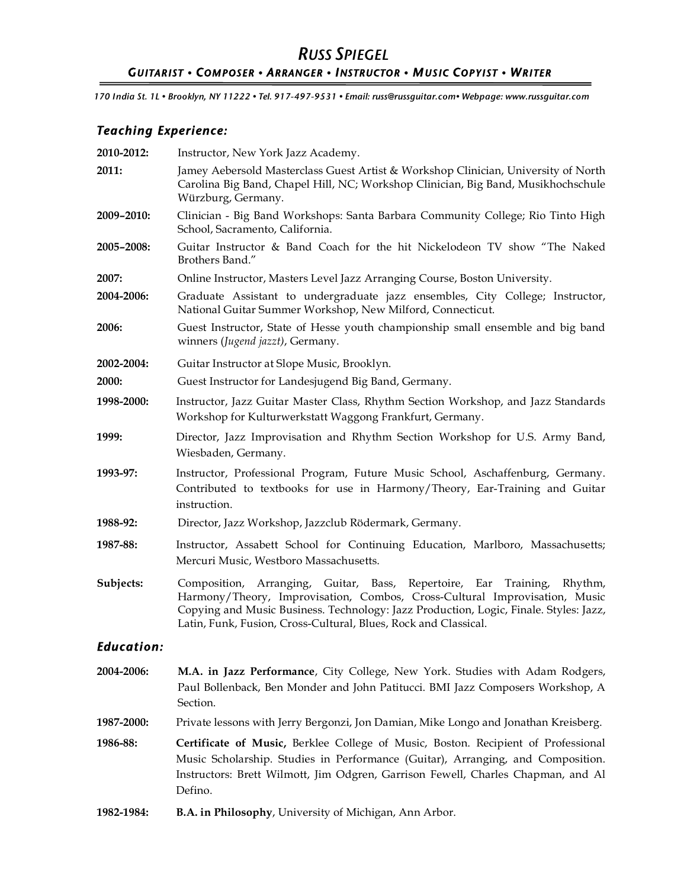## *RUSS SPIEGEL GUITARIST • COMPOSER • ARRANGER • INSTRUCTOR • MUSIC COPYIST • WRITER*

 *170 India St. 1L • Brooklyn, NY 11222 • Tel. 917-497-9531 • Email: russ@russguitar.com• Webpage: www.russguitar.com*

## *Teaching Experience:*

| 2010-2012:        | Instructor, New York Jazz Academy.                                                                                                                                                                                                                                                                                      |
|-------------------|-------------------------------------------------------------------------------------------------------------------------------------------------------------------------------------------------------------------------------------------------------------------------------------------------------------------------|
| 2011:             | Jamey Aebersold Masterclass Guest Artist & Workshop Clinician, University of North<br>Carolina Big Band, Chapel Hill, NC; Workshop Clinician, Big Band, Musikhochschule<br>Würzburg, Germany.                                                                                                                           |
| 2009-2010:        | Clinician - Big Band Workshops: Santa Barbara Community College; Rio Tinto High<br>School, Sacramento, California.                                                                                                                                                                                                      |
| 2005-2008:        | Guitar Instructor & Band Coach for the hit Nickelodeon TV show "The Naked<br>Brothers Band."                                                                                                                                                                                                                            |
| 2007:             | Online Instructor, Masters Level Jazz Arranging Course, Boston University.                                                                                                                                                                                                                                              |
| 2004-2006:        | Graduate Assistant to undergraduate jazz ensembles, City College; Instructor,<br>National Guitar Summer Workshop, New Milford, Connecticut.                                                                                                                                                                             |
| 2006:             | Guest Instructor, State of Hesse youth championship small ensemble and big band<br>winners (Jugend jazzt), Germany.                                                                                                                                                                                                     |
| 2002-2004:        | Guitar Instructor at Slope Music, Brooklyn.                                                                                                                                                                                                                                                                             |
| 2000:             | Guest Instructor for Landesjugend Big Band, Germany.                                                                                                                                                                                                                                                                    |
| 1998-2000:        | Instructor, Jazz Guitar Master Class, Rhythm Section Workshop, and Jazz Standards<br>Workshop for Kulturwerkstatt Waggong Frankfurt, Germany.                                                                                                                                                                           |
| 1999:             | Director, Jazz Improvisation and Rhythm Section Workshop for U.S. Army Band,<br>Wiesbaden, Germany.                                                                                                                                                                                                                     |
| 1993-97:          | Instructor, Professional Program, Future Music School, Aschaffenburg, Germany.<br>Contributed to textbooks for use in Harmony/Theory, Ear-Training and Guitar<br>instruction.                                                                                                                                           |
| 1988-92:          | Director, Jazz Workshop, Jazzclub Rödermark, Germany.                                                                                                                                                                                                                                                                   |
| 1987-88:          | Instructor, Assabett School for Continuing Education, Marlboro, Massachusetts;<br>Mercuri Music, Westboro Massachusetts.                                                                                                                                                                                                |
| Subjects:         | Composition, Arranging, Guitar, Bass, Repertoire, Ear<br>Training,<br>Rhythm,<br>Harmony/Theory, Improvisation, Combos, Cross-Cultural Improvisation, Music<br>Copying and Music Business. Technology: Jazz Production, Logic, Finale. Styles: Jazz,<br>Latin, Funk, Fusion, Cross-Cultural, Blues, Rock and Classical. |
| <b>Education:</b> |                                                                                                                                                                                                                                                                                                                         |
| 2004-2006:        | M.A. in Jazz Performance, City College, New York. Studies with Adam Rodgers,<br>Paul Bollenback, Ben Monder and John Patitucci. BMI Jazz Composers Workshop, A<br>Section.                                                                                                                                              |
| 1987-2000:        | Private lessons with Jerry Bergonzi, Jon Damian, Mike Longo and Jonathan Kreisberg.                                                                                                                                                                                                                                     |
| 1986-88:          | Certificate of Music, Berklee College of Music, Boston. Recipient of Professional<br>Music Scholarship. Studies in Performance (Guitar), Arranging, and Composition.<br>Instructors: Brett Wilmott, Jim Odgren, Garrison Fewell, Charles Chapman, and Al<br>Defino.                                                     |
| 1982-1984:        | B.A. in Philosophy, University of Michigan, Ann Arbor.                                                                                                                                                                                                                                                                  |
|                   |                                                                                                                                                                                                                                                                                                                         |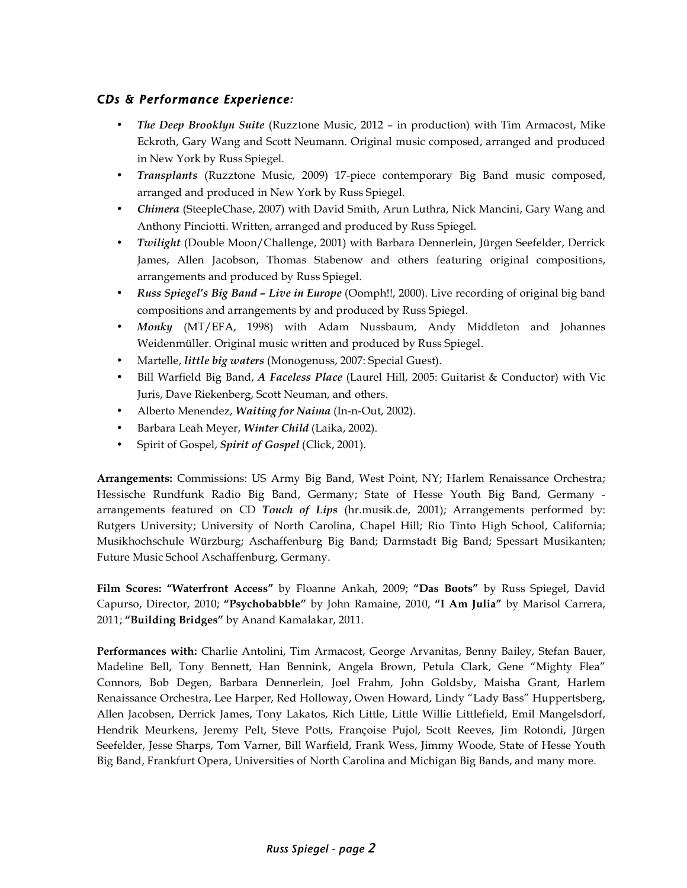## *CDs & Performance Experience:*

- *The Deep Brooklyn Suite* (Ruzztone Music, 2012 in production) with Tim Armacost, Mike Eckroth, Gary Wang and Scott Neumann. Original music composed, arranged and produced in New York by Russ Spiegel.
- *Transplants* (Ruzztone Music, 2009) 17-piece contemporary Big Band music composed, arranged and produced in New York by Russ Spiegel.
- *Chimera* (SteepleChase, 2007) with David Smith, Arun Luthra, Nick Mancini, Gary Wang and Anthony Pinciotti. Written, arranged and produced by Russ Spiegel.
- *Twilight* (Double Moon/Challenge, 2001) with Barbara Dennerlein, Jürgen Seefelder, Derrick James, Allen Jacobson, Thomas Stabenow and others featuring original compositions, arrangements and produced by Russ Spiegel.
- *Russ Spiegel's Big Band Live in Europe* (Oomph!!, 2000). Live recording of original big band compositions and arrangements by and produced by Russ Spiegel.
- *Monky* (MT/EFA, 1998) with Adam Nussbaum, Andy Middleton and Johannes Weidenmüller. Original music written and produced by Russ Spiegel.
- Martelle, *little big waters* (Monogenuss, 2007: Special Guest).
- Bill Warfield Big Band, *A Faceless Place* (Laurel Hill, 2005: Guitarist & Conductor) with Vic Juris, Dave Riekenberg, Scott Neuman, and others.
- Alberto Menendez, *Waiting for Naima* (In-n-Out, 2002).
- Barbara Leah Meyer, *Winter Child* (Laika, 2002).
- Spirit of Gospel, *Spirit of Gospel* (Click, 2001).

**Arrangements:** Commissions: US Army Big Band, West Point, NY; Harlem Renaissance Orchestra; Hessische Rundfunk Radio Big Band, Germany; State of Hesse Youth Big Band, Germany arrangements featured on CD *Touch of Lips* (hr.musik.de, 2001); Arrangements performed by: Rutgers University; University of North Carolina, Chapel Hill; Rio Tinto High School, California; Musikhochschule Würzburg; Aschaffenburg Big Band; Darmstadt Big Band; Spessart Musikanten; Future Music School Aschaffenburg, Germany.

**Film Scores: "Waterfront Access"** by Floanne Ankah, 2009; **"Das Boots"** by Russ Spiegel, David Capurso, Director, 2010; **"Psychobabble"** by John Ramaine, 2010, **"I Am Julia"** by Marisol Carrera, 2011; **"Building Bridges"** by Anand Kamalakar, 2011.

**Performances with:** Charlie Antolini, Tim Armacost, George Arvanitas, Benny Bailey, Stefan Bauer, Madeline Bell, Tony Bennett, Han Bennink, Angela Brown, Petula Clark, Gene "Mighty Flea" Connors, Bob Degen, Barbara Dennerlein*,* Joel Frahm, John Goldsby, Maisha Grant, Harlem Renaissance Orchestra, Lee Harper, Red Holloway, Owen Howard, Lindy "Lady Bass" Huppertsberg, Allen Jacobsen, Derrick James, Tony Lakatos, Rich Little, Little Willie Littlefield, Emil Mangelsdorf, Hendrik Meurkens, Jeremy Pelt, Steve Potts, Françoise Pujol, Scott Reeves, Jim Rotondi, Jürgen Seefelder, Jesse Sharps, Tom Varner, Bill Warfield, Frank Wess, Jimmy Woode, State of Hesse Youth Big Band, Frankfurt Opera, Universities of North Carolina and Michigan Big Bands, and many more.